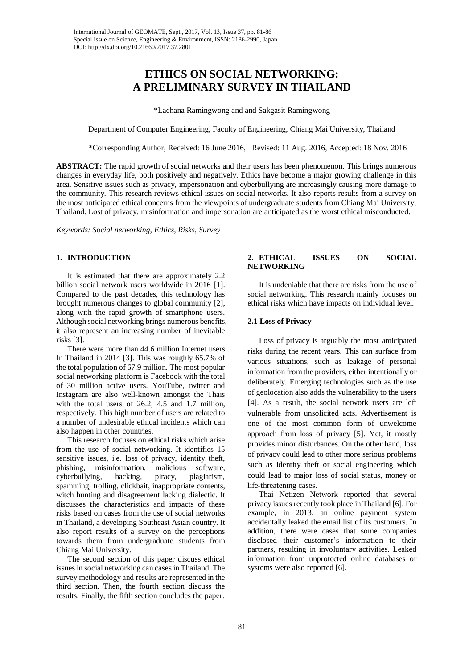# **ETHICS ON SOCIAL NETWORKING: A PRELIMINARY SURVEY IN THAILAND**

\*Lachana Ramingwong and and Sakgasit Ramingwong

Department of Computer Engineering, Faculty of Engineering, Chiang Mai University, Thailand

\*Corresponding Author, Received: 16 June 2016, Revised: 11 Aug. 2016, Accepted: 18 Nov. 2016

**ABSTRACT:** The rapid growth of social networks and their users has been phenomenon. This brings numerous changes in everyday life, both positively and negatively. Ethics have become a major growing challenge in this area. Sensitive issues such as privacy, impersonation and cyberbullying are increasingly causing more damage to the community. This research reviews ethical issues on social networks. It also reports results from a survey on the most anticipated ethical concerns from the viewpoints of undergraduate students from Chiang Mai University, Thailand. Lost of privacy, misinformation and impersonation are anticipated as the worst ethical misconducted.

*Keywords: Social networking, Ethics, Risks, Survey*

# **1. INTRODUCTION**

It is estimated that there are approximately 2.2 billion social network users worldwide in 2016 [1]. Compared to the past decades, this technology has brought numerous changes to global community [2], along with the rapid growth of smartphone users. Although social networking brings numerous benefits, it also represent an increasing number of inevitable risks [3].

There were more than 44.6 million Internet users In Thailand in 2014 [3]. This was roughly 65.7% of the total population of 67.9 million. The most popular social networking platform is Facebook with the total of 30 million active users. YouTube, twitter and Instagram are also well-known amongst the Thais with the total users of 26.2, 4.5 and 1.7 million, respectively. This high number of users are related to a number of undesirable ethical incidents which can also happen in other countries.

This research focuses on ethical risks which arise from the use of social networking. It identifies 15 sensitive issues, i.e. loss of privacy, identity theft, phishing, misinformation, malicious software, cyberbullying, hacking, piracy, plagiarism, spamming, trolling, clickbait, inappropriate contents, witch hunting and disagreement lacking dialectic. It discusses the characteristics and impacts of these risks based on cases from the use of social networks in Thailand, a developing Southeast Asian country. It also report results of a survey on the perceptions towards them from undergraduate students from Chiang Mai University.

The second section of this paper discuss ethical issues in social networking can cases in Thailand. The survey methodology and results are represented in the third section. Then, the fourth section discuss the results. Finally, the fifth section concludes the paper.

# **2. ETHICAL ISSUES ON SOCIAL NETWORKING**

It is undeniable that there are risks from the use of social networking. This research mainly focuses on ethical risks which have impacts on individual level.

### **2.1 Loss of Privacy**

Loss of privacy is arguably the most anticipated risks during the recent years. This can surface from various situations, such as leakage of personal information from the providers, either intentionally or deliberately. Emerging technologies such as the use of geolocation also adds the vulnerability to the users [4]. As a result, the social network users are left vulnerable from unsolicited acts. Advertisement is one of the most common form of unwelcome approach from loss of privacy [5]. Yet, it mostly provides minor disturbances. On the other hand, loss of privacy could lead to other more serious problems such as identity theft or social engineering which could lead to major loss of social status, money or life-threatening cases.

Thai Netizen Network reported that several privacy issues recently took place in Thailand [6]. For example, in 2013, an online payment system accidentally leaked the email list of its customers. In addition, there were cases that some companies disclosed their customer's information to their partners, resulting in involuntary activities. Leaked information from unprotected online databases or systems were also reported [6].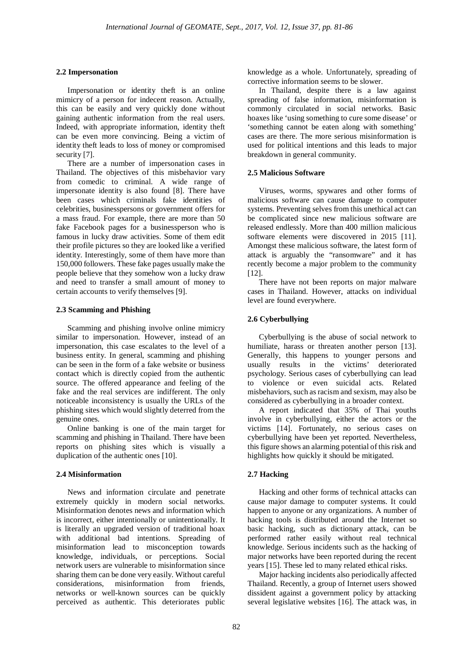### **2.2 Impersonation**

Impersonation or identity theft is an online mimicry of a person for indecent reason. Actually, this can be easily and very quickly done without gaining authentic information from the real users. Indeed, with appropriate information, identity theft can be even more convincing. Being a victim of identity theft leads to loss of money or compromised security [7].

There are a number of impersonation cases in Thailand. The objectives of this misbehavior vary from comedic to criminal. A wide range of impersonate identity is also found [8]. There have been cases which criminals fake identities of celebrities, businesspersons or government offers for a mass fraud. For example, there are more than 50 fake Facebook pages for a businessperson who is famous in lucky draw activities. Some of them edit their profile pictures so they are looked like a verified identity. Interestingly, some of them have more than 150,000 followers. These fake pages usually make the people believe that they somehow won a lucky draw and need to transfer a small amount of money to certain accounts to verify themselves [9].

### **2.3 Scamming and Phishing**

Scamming and phishing involve online mimicry similar to impersonation. However, instead of an impersonation, this case escalates to the level of a business entity. In general, scamming and phishing can be seen in the form of a fake website or business contact which is directly copied from the authentic source. The offered appearance and feeling of the fake and the real services are indifferent. The only noticeable inconsistency is usually the URLs of the phishing sites which would slightly deterred from the genuine ones.

Online banking is one of the main target for scamming and phishing in Thailand. There have been reports on phishing sites which is visually a duplication of the authentic ones [10].

# **2.4 Misinformation**

News and information circulate and penetrate extremely quickly in modern social networks. Misinformation denotes news and information which is incorrect, either intentionally or unintentionally. It is literally an upgraded version of traditional hoax with additional bad intentions. Spreading of misinformation lead to misconception towards knowledge, individuals, or perceptions. Social network users are vulnerable to misinformation since sharing them can be done very easily. Without careful considerations, misinformation from friends, networks or well-known sources can be quickly perceived as authentic. This deteriorates public knowledge as a whole. Unfortunately, spreading of corrective information seems to be slower.

In Thailand, despite there is a law against spreading of false information, misinformation is commonly circulated in social networks. Basic hoaxes like 'using something to cure some disease' or 'something cannot be eaten along with something' cases are there. The more serious misinformation is used for political intentions and this leads to major breakdown in general community.

### **2.5 Malicious Software**

Viruses, worms, spywares and other forms of malicious software can cause damage to computer systems. Preventing selves from this unethical act can be complicated since new malicious software are released endlessly. More than 400 million malicious software elements were discovered in 2015 [11]. Amongst these malicious software, the latest form of attack is arguably the "ransomware" and it has recently become a major problem to the community [12].

There have not been reports on major malware cases in Thailand. However, attacks on individual level are found everywhere.

# **2.6 Cyberbullying**

Cyberbullying is the abuse of social network to humiliate, harass or threaten another person [13]. Generally, this happens to younger persons and usually results in the victims' deteriorated psychology. Serious cases of cyberbullying can lead to violence or even suicidal acts. Related misbehaviors, such as racism and sexism, may also be considered as cyberbullying in a broader context.

A report indicated that 35% of Thai youths involve in cyberbullying, either the actors or the victims [14]. Fortunately, no serious cases on cyberbullying have been yet reported. Nevertheless, this figure shows an alarming potential of this risk and highlights how quickly it should be mitigated.

# **2.7 Hacking**

Hacking and other forms of technical attacks can cause major damage to computer systems. It could happen to anyone or any organizations. A number of hacking tools is distributed around the Internet so basic hacking, such as dictionary attack, can be performed rather easily without real technical knowledge. Serious incidents such as the hacking of major networks have been reported during the recent years [15]. These led to many related ethical risks.

Major hacking incidents also periodically affected Thailand. Recently, a group of Internet users showed dissident against a government policy by attacking several legislative websites [16]. The attack was, in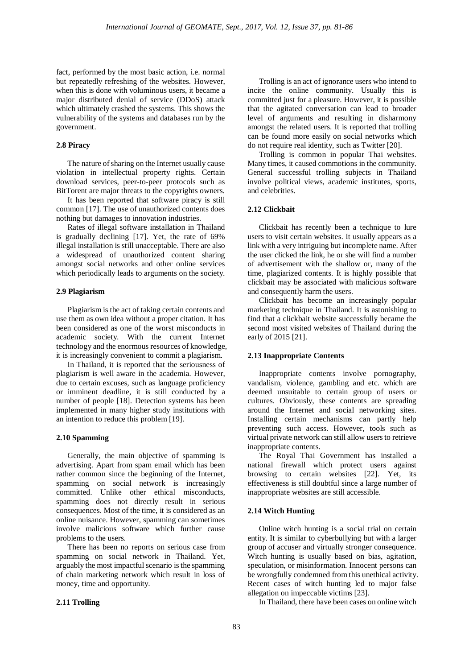fact, performed by the most basic action, i.e. normal but repeatedly refreshing of the websites. However, when this is done with voluminous users, it became a major distributed denial of service (DDoS) attack which ultimately crashed the systems. This shows the vulnerability of the systems and databases run by the government.

### **2.8 Piracy**

The nature of sharing on the Internet usually cause violation in intellectual property rights. Certain download services, peer-to-peer protocols such as BitTorent are major threats to the copyrights owners.

It has been reported that software piracy is still common [17]. The use of unauthorized contents does nothing but damages to innovation industries.

Rates of illegal software installation in Thailand is gradually declining [17]. Yet, the rate of 69% illegal installation is still unacceptable. There are also a widespread of unauthorized content sharing amongst social networks and other online services which periodically leads to arguments on the society.

#### **2.9 Plagiarism**

Plagiarism is the act of taking certain contents and use them as own idea without a proper citation. It has been considered as one of the worst misconducts in academic society. With the current Internet technology and the enormous resources of knowledge, it is increasingly convenient to commit a plagiarism.

In Thailand, it is reported that the seriousness of plagiarism is well aware in the academia. However, due to certain excuses, such as language proficiency or imminent deadline, it is still conducted by a number of people [18]. Detection systems has been implemented in many higher study institutions with an intention to reduce this problem [19].

#### **2.10 Spamming**

Generally, the main objective of spamming is advertising. Apart from spam email which has been rather common since the beginning of the Internet, spamming on social network is increasingly committed. Unlike other ethical misconducts, spamming does not directly result in serious consequences. Most of the time, it is considered as an online nuisance. However, spamming can sometimes involve malicious software which further cause problems to the users.

There has been no reports on serious case from spamming on social network in Thailand. Yet, arguably the most impactful scenario is the spamming of chain marketing network which result in loss of money, time and opportunity.

#### **2.11 Trolling**

Trolling is an act of ignorance users who intend to incite the online community. Usually this is committed just for a pleasure. However, it is possible that the agitated conversation can lead to broader level of arguments and resulting in disharmony amongst the related users. It is reported that trolling can be found more easily on social networks which do not require real identity, such as Twitter [20].

Trolling is common in popular Thai websites. Many times, it caused commotions in the community. General successful trolling subjects in Thailand involve political views, academic institutes, sports, and celebrities.

#### **2.12 Clickbait**

Clickbait has recently been a technique to lure users to visit certain websites. It usually appears as a link with a very intriguing but incomplete name. After the user clicked the link, he or she will find a number of advertisement with the shallow or, many of the time, plagiarized contents. It is highly possible that clickbait may be associated with malicious software and consequently harm the users.

Clickbait has become an increasingly popular marketing technique in Thailand. It is astonishing to find that a clickbait website successfully became the second most visited websites of Thailand during the early of 2015 [21].

#### **2.13 Inappropriate Contents**

Inappropriate contents involve pornography, vandalism, violence, gambling and etc. which are deemed unsuitable to certain group of users or cultures. Obviously, these contents are spreading around the Internet and social networking sites. Installing certain mechanisms can partly help preventing such access. However, tools such as virtual private network can still allow users to retrieve inappropriate contents.

The Royal Thai Government has installed a national firewall which protect users against browsing to certain websites [22]. Yet, its effectiveness is still doubtful since a large number of inappropriate websites are still accessible.

#### **2.14 Witch Hunting**

Online witch hunting is a social trial on certain entity. It is similar to cyberbullying but with a larger group of accuser and virtually stronger consequence. Witch hunting is usually based on bias, agitation, speculation, or misinformation. Innocent persons can be wrongfully condemned from this unethical activity. Recent cases of witch hunting led to major false allegation on impeccable victims [23].

In Thailand, there have been cases on online witch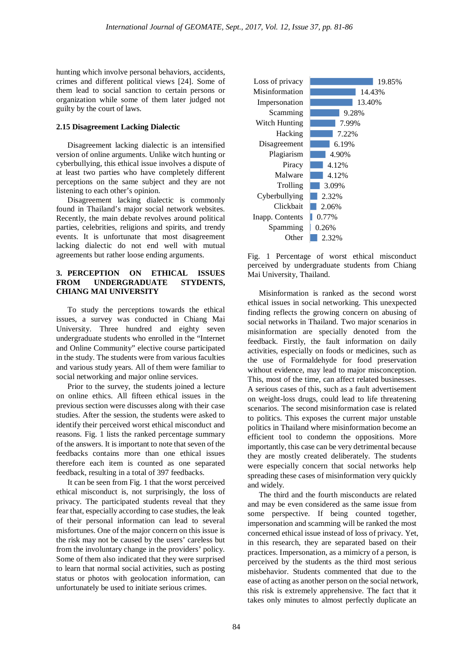hunting which involve personal behaviors, accidents, crimes and different political views [24]. Some of them lead to social sanction to certain persons or organization while some of them later judged not guilty by the court of laws.

#### **2.15 Disagreement Lacking Dialectic**

Disagreement lacking dialectic is an intensified version of online arguments. Unlike witch hunting or cyberbullying, this ethical issue involves a dispute of at least two parties who have completely different perceptions on the same subject and they are not listening to each other's opinion.

Disagreement lacking dialectic is commonly found in Thailand's major social network websites. Recently, the main debate revolves around political parties, celebrities, religions and spirits, and trendy events. It is unfortunate that most disagreement lacking dialectic do not end well with mutual agreements but rather loose ending arguments.

# **3. PERCEPTION ON ETHICAL ISSUES FROM UNDERGRADUATE STYDENTS, CHIANG MAI UNIVERSITY**

To study the perceptions towards the ethical issues, a survey was conducted in Chiang Mai University. Three hundred and eighty seven undergraduate students who enrolled in the "Internet and Online Community" elective course participated in the study. The students were from various faculties and various study years. All of them were familiar to social networking and major online services.

Prior to the survey, the students joined a lecture on online ethics. All fifteen ethical issues in the previous section were discusses along with their case studies. After the session, the students were asked to identify their perceived worst ethical misconduct and reasons. Fig. 1 lists the ranked percentage summary of the answers. It is important to note that seven of the feedbacks contains more than one ethical issues therefore each item is counted as one separated feedback, resulting in a total of 397 feedbacks.

It can be seen from Fig. 1 that the worst perceived ethical misconduct is, not surprisingly, the loss of privacy. The participated students reveal that they fear that, especially according to case studies, the leak of their personal information can lead to several misfortunes. One of the major concern on this issue is the risk may not be caused by the users' careless but from the involuntary change in the providers' policy. Some of them also indicated that they were surprised to learn that normal social activities, such as posting status or photos with geolocation information, can unfortunately be used to initiate serious crimes.



Fig. 1 Percentage of worst ethical misconduct perceived by undergraduate students from Chiang Mai University, Thailand.

Misinformation is ranked as the second worst ethical issues in social networking. This unexpected finding reflects the growing concern on abusing of social networks in Thailand. Two major scenarios in misinformation are specially denoted from the feedback. Firstly, the fault information on daily activities, especially on foods or medicines, such as the use of Formaldehyde for food preservation without evidence, may lead to major misconception. This, most of the time, can affect related businesses. A serious cases of this, such as a fault advertisement on weight-loss drugs, could lead to life threatening scenarios. The second misinformation case is related to politics. This exposes the current major unstable politics in Thailand where misinformation become an efficient tool to condemn the oppositions. More importantly, this case can be very detrimental because they are mostly created deliberately. The students were especially concern that social networks help spreading these cases of misinformation very quickly and widely.

The third and the fourth misconducts are related and may be even considered as the same issue from some perspective. If being counted together, impersonation and scamming will be ranked the most concerned ethical issue instead of loss of privacy. Yet, in this research, they are separated based on their practices. Impersonation, as a mimicry of a person, is perceived by the students as the third most serious misbehavior. Students commented that due to the ease of acting as another person on the social network, this risk is extremely apprehensive. The fact that it takes only minutes to almost perfectly duplicate an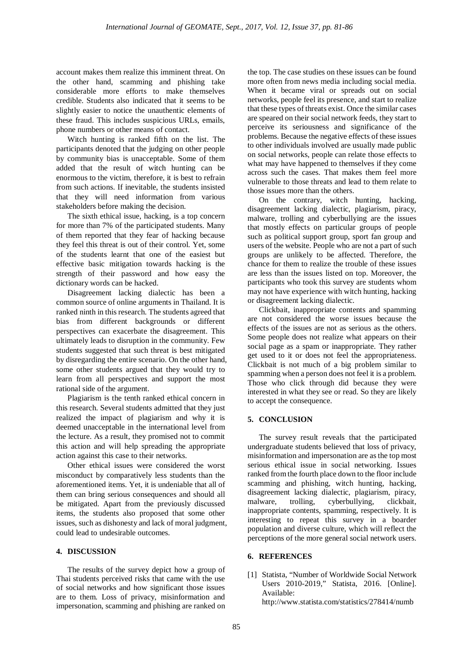account makes them realize this imminent threat. On the other hand, scamming and phishing take considerable more efforts to make themselves credible. Students also indicated that it seems to be slightly easier to notice the unauthentic elements of these fraud. This includes suspicious URLs, emails, phone numbers or other means of contact.

Witch hunting is ranked fifth on the list. The participants denoted that the judging on other people by community bias is unacceptable. Some of them added that the result of witch hunting can be enormous to the victim, therefore, it is best to refrain from such actions. If inevitable, the students insisted that they will need information from various stakeholders before making the decision.

The sixth ethical issue, hacking, is a top concern for more than 7% of the participated students. Many of them reported that they fear of hacking because they feel this threat is out of their control. Yet, some of the students learnt that one of the easiest but effective basic mitigation towards hacking is the strength of their password and how easy the dictionary words can be hacked.

Disagreement lacking dialectic has been a common source of online arguments in Thailand. It is ranked ninth in this research. The students agreed that bias from different backgrounds or different perspectives can exacerbate the disagreement. This ultimately leads to disruption in the community. Few students suggested that such threat is best mitigated by disregarding the entire scenario. On the other hand, some other students argued that they would try to learn from all perspectives and support the most rational side of the argument.

Plagiarism is the tenth ranked ethical concern in this research. Several students admitted that they just realized the impact of plagiarism and why it is deemed unacceptable in the international level from the lecture. As a result, they promised not to commit this action and will help spreading the appropriate action against this case to their networks.

Other ethical issues were considered the worst misconduct by comparatively less students than the aforementioned items. Yet, it is undeniable that all of them can bring serious consequences and should all be mitigated. Apart from the previously discussed items, the students also proposed that some other issues, such as dishonesty and lack of moral judgment, could lead to undesirable outcomes.

### **4. DISCUSSION**

The results of the survey depict how a group of Thai students perceived risks that came with the use of social networks and how significant those issues are to them. Loss of privacy, misinformation and impersonation, scamming and phishing are ranked on

the top. The case studies on these issues can be found more often from news media including social media. When it became viral or spreads out on social networks, people feel its presence, and start to realize that these types of threats exist. Once the similar cases are speared on their social network feeds, they start to perceive its seriousness and significance of the problems. Because the negative effects of these issues to other individuals involved are usually made public on social networks, people can relate those effects to what may have happened to themselves if they come across such the cases. That makes them feel more vulnerable to those threats and lead to them relate to those issues more than the others.

On the contrary, witch hunting, hacking, disagreement lacking dialectic, plagiarism, piracy, malware, trolling and cyberbullying are the issues that mostly effects on particular groups of people such as political support group, sport fan group and users of the website. People who are not a part of such groups are unlikely to be affected. Therefore, the chance for them to realize the trouble of these issues are less than the issues listed on top. Moreover, the participants who took this survey are students whom may not have experience with witch hunting, hacking or disagreement lacking dialectic.

Clickbait, inappropriate contents and spamming are not considered the worse issues because the effects of the issues are not as serious as the others. Some people does not realize what appears on their social page as a spam or inappropriate. They rather get used to it or does not feel the appropriateness. Clickbait is not much of a big problem similar to spamming when a person does not feel it is a problem. Those who click through did because they were interested in what they see or read. So they are likely to accept the consequence.

#### **5. CONCLUSION**

The survey result reveals that the participated undergraduate students believed that loss of privacy, misinformation and impersonation are as the top most serious ethical issue in social networking. Issues ranked from the fourth place down to the floor include scamming and phishing, witch hunting, hacking, disagreement lacking dialectic, plagiarism, piracy, malware, trolling, cyberbullying, clickbait, inappropriate contents, spamming, respectively. It is interesting to repeat this survey in a boarder population and diverse culture, which will reflect the perceptions of the more general social network users.

### **6. REFERENCES**

[1] Statista, "Number of Worldwide Social Network Users 2010-2019," Statista, 2016. [Online]. Available: http://www.statista.com/statistics/278414/numb